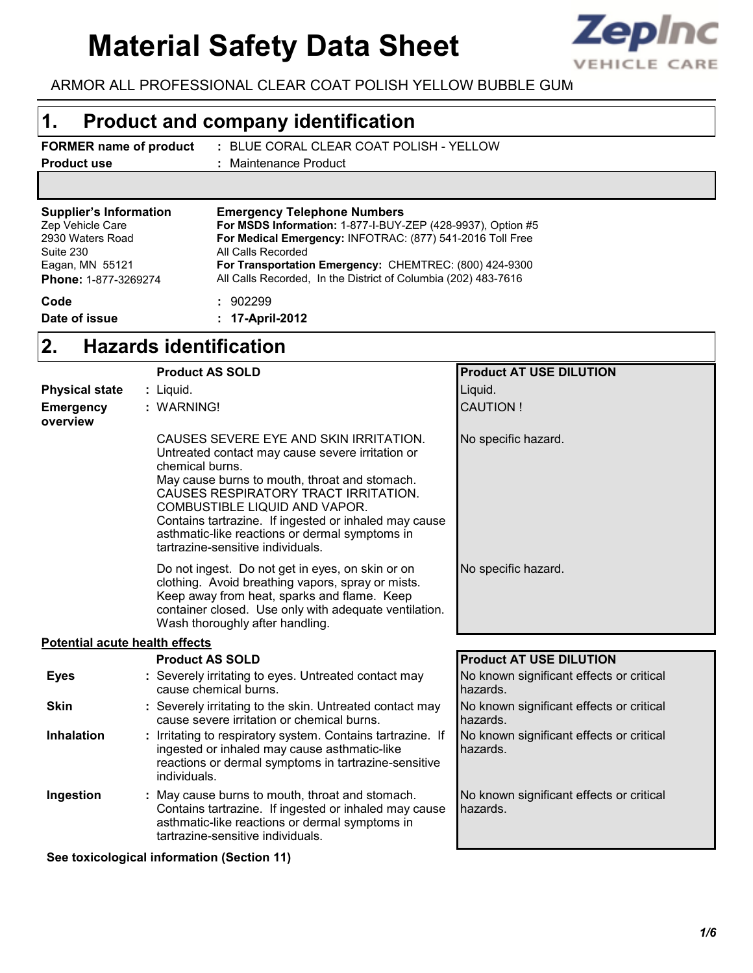# **Material Safety Data Sheet**



ARMOR ALL PROFESSIONAL CLEAR COAT POLISH YELLOW BUBBLE GUM

#### **Product and company identification 1.**

- **FORMER name of product Product use**
- BLUE CORAL CLEAR COAT POLISH YELLOW **:**
	- Maintenance Product **:**

| <b>Emergency Telephone Numbers</b>                             |  |
|----------------------------------------------------------------|--|
| For MSDS Information: 1-877-I-BUY-ZEP (428-9937), Option #5    |  |
| For Medical Emergency: INFOTRAC: (877) 541-2016 Toll Free      |  |
| All Calls Recorded                                             |  |
| For Transportation Emergency: CHEMTREC: (800) 424-9300         |  |
| All Calls Recorded, In the District of Columbia (202) 483-7616 |  |
| : 902299                                                       |  |
| : 17-April-2012                                                |  |
|                                                                |  |

#### **Hazards identification 2.**

|                                       | <b>Product AS SOLD</b>                                                                                                                                                                                                                                                                                                                                                                  | <b>Product AT USE DILUTION</b>                       |
|---------------------------------------|-----------------------------------------------------------------------------------------------------------------------------------------------------------------------------------------------------------------------------------------------------------------------------------------------------------------------------------------------------------------------------------------|------------------------------------------------------|
| <b>Physical state</b>                 | : Liquid.                                                                                                                                                                                                                                                                                                                                                                               | Liquid.                                              |
| <b>Emergency</b><br>overview          | : WARNING!                                                                                                                                                                                                                                                                                                                                                                              | <b>CAUTION!</b>                                      |
|                                       | CAUSES SEVERE EYE AND SKIN IRRITATION.<br>Untreated contact may cause severe irritation or<br>chemical burns.<br>May cause burns to mouth, throat and stomach.<br>CAUSES RESPIRATORY TRACT IRRITATION.<br>COMBUSTIBLE LIQUID AND VAPOR.<br>Contains tartrazine. If ingested or inhaled may cause<br>asthmatic-like reactions or dermal symptoms in<br>tartrazine-sensitive individuals. | No specific hazard.                                  |
|                                       | Do not ingest. Do not get in eyes, on skin or on<br>clothing. Avoid breathing vapors, spray or mists.<br>Keep away from heat, sparks and flame. Keep<br>container closed. Use only with adequate ventilation.<br>Wash thoroughly after handling.                                                                                                                                        | No specific hazard.                                  |
| <b>Potential acute health effects</b> |                                                                                                                                                                                                                                                                                                                                                                                         |                                                      |
|                                       | <b>Product AS SOLD</b>                                                                                                                                                                                                                                                                                                                                                                  | <b>Product AT USE DILUTION</b>                       |
| <b>Eyes</b>                           | : Severely irritating to eyes. Untreated contact may<br>cause chemical burns.                                                                                                                                                                                                                                                                                                           | No known significant effects or critical<br>hazards. |
| <b>Skin</b>                           | : Severely irritating to the skin. Untreated contact may<br>cause severe irritation or chemical burns.                                                                                                                                                                                                                                                                                  | No known significant effects or critical<br>hazards. |
| <b>Inhalation</b>                     | Irritating to respiratory system. Contains tartrazine. If<br>ingested or inhaled may cause asthmatic-like<br>reactions or dermal symptoms in tartrazine-sensitive<br>individuals.                                                                                                                                                                                                       | No known significant effects or critical<br>hazards. |
| Ingestion                             | : May cause burns to mouth, throat and stomach.<br>Contains tartrazine. If ingested or inhaled may cause<br>asthmatic-like reactions or dermal symptoms in<br>tartrazine-sensitive individuals.                                                                                                                                                                                         | No known significant effects or critical<br>hazards. |

**See toxicological information (Section 11)**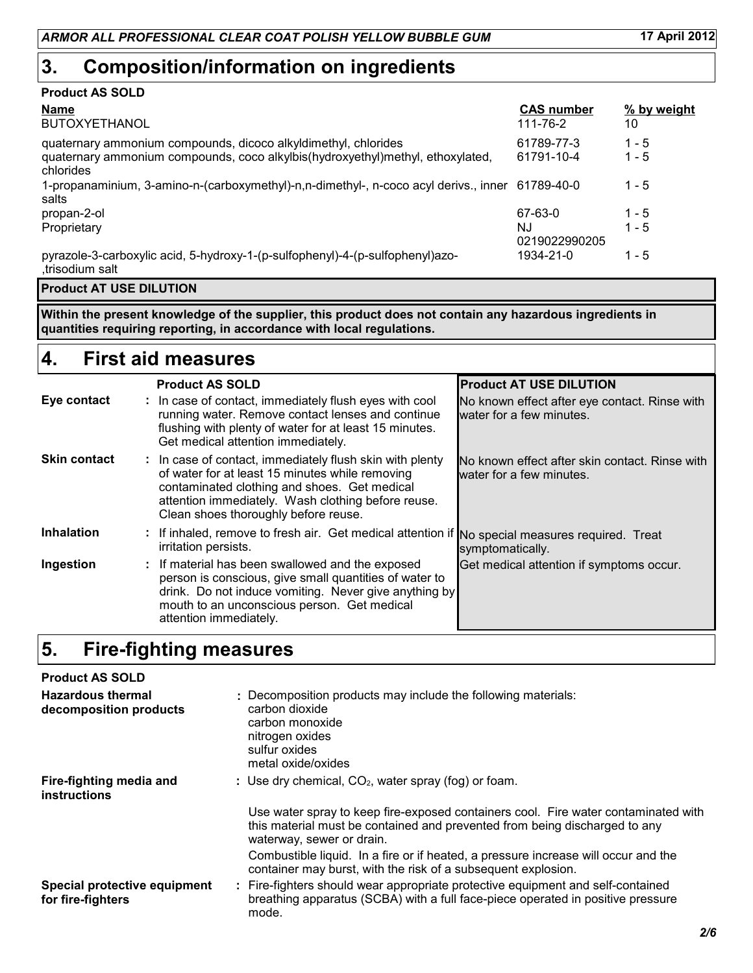## **Composition/information on ingredients 3.**

#### **Product AS SOLD**

| <b>Name</b>                                                                                                                                                   | <b>CAS number</b>        | % by weight        |
|---------------------------------------------------------------------------------------------------------------------------------------------------------------|--------------------------|--------------------|
| <b>BUTOXYETHANOL</b>                                                                                                                                          | 111-76-2                 | 10                 |
| quaternary ammonium compounds, dicoco alkyldimethyl, chlorides<br>quaternary ammonium compounds, coco alkylbis(hydroxyethyl)methyl, ethoxylated,<br>chlorides | 61789-77-3<br>61791-10-4 | $1 - 5$<br>$1 - 5$ |
| 1-propanaminium, 3-amino-n-(carboxymethyl)-n,n-dimethyl-, n-coco acyl derivs., inner 61789-40-0<br>salts                                                      |                          | $1 - 5$            |
| propan-2-ol                                                                                                                                                   | 67-63-0                  | $1 - 5$            |
| Proprietary                                                                                                                                                   | N.J<br>0219022990205     | $1 - 5$            |
| pyrazole-3-carboxylic acid, 5-hydroxy-1-(p-sulfophenyl)-4-(p-sulfophenyl)azo-<br>trisodium salt.                                                              | 1934-21-0                | $1 - 5$            |

#### **Product AT USE DILUTION**

**Within the present knowledge of the supplier, this product does not contain any hazardous ingredients in quantities requiring reporting, in accordance with local regulations.**

#### **First aid measures 4.**

|                     | <b>Product AS SOLD</b>                                                                                                                                                                                                                                    | <b>Product AT USE DILUTION</b>                                             |
|---------------------|-----------------------------------------------------------------------------------------------------------------------------------------------------------------------------------------------------------------------------------------------------------|----------------------------------------------------------------------------|
| Eye contact         | : In case of contact, immediately flush eyes with cool<br>running water. Remove contact lenses and continue<br>flushing with plenty of water for at least 15 minutes.<br>Get medical attention immediately.                                               | No known effect after eye contact. Rinse with<br>water for a few minutes.  |
| <b>Skin contact</b> | : In case of contact, immediately flush skin with plenty<br>of water for at least 15 minutes while removing<br>contaminated clothing and shoes. Get medical<br>attention immediately. Wash clothing before reuse.<br>Clean shoes thoroughly before reuse. | No known effect after skin contact. Rinse with<br>water for a few minutes. |
| <b>Inhalation</b>   | : If inhaled, remove to fresh air. Get medical attention if No special measures required. Treat<br>irritation persists.                                                                                                                                   | symptomatically.                                                           |
| Ingestion           | : If material has been swallowed and the exposed<br>person is conscious, give small quantities of water to<br>drink. Do not induce vomiting. Never give anything by<br>mouth to an unconscious person. Get medical<br>attention immediately.              | Get medical attention if symptoms occur.                                   |

#### **Fire-fighting measures 5.**

| <b>Product AS SOLD</b>                             |                                                                                                                                                                                               |
|----------------------------------------------------|-----------------------------------------------------------------------------------------------------------------------------------------------------------------------------------------------|
| <b>Hazardous thermal</b><br>decomposition products | : Decomposition products may include the following materials:<br>carbon dioxide<br>carbon monoxide<br>nitrogen oxides<br>sulfur oxides<br>metal oxide/oxides                                  |
| Fire-fighting media and<br><b>instructions</b>     | : Use dry chemical, $CO2$ , water spray (fog) or foam.                                                                                                                                        |
|                                                    | Use water spray to keep fire-exposed containers cool. Fire water contaminated with<br>this material must be contained and prevented from being discharged to any<br>waterway, sewer or drain. |
|                                                    | Combustible liquid. In a fire or if heated, a pressure increase will occur and the<br>container may burst, with the risk of a subsequent explosion.                                           |
| Special protective equipment<br>for fire-fighters  | : Fire-fighters should wear appropriate protective equipment and self-contained<br>breathing apparatus (SCBA) with a full face-piece operated in positive pressure<br>mode.                   |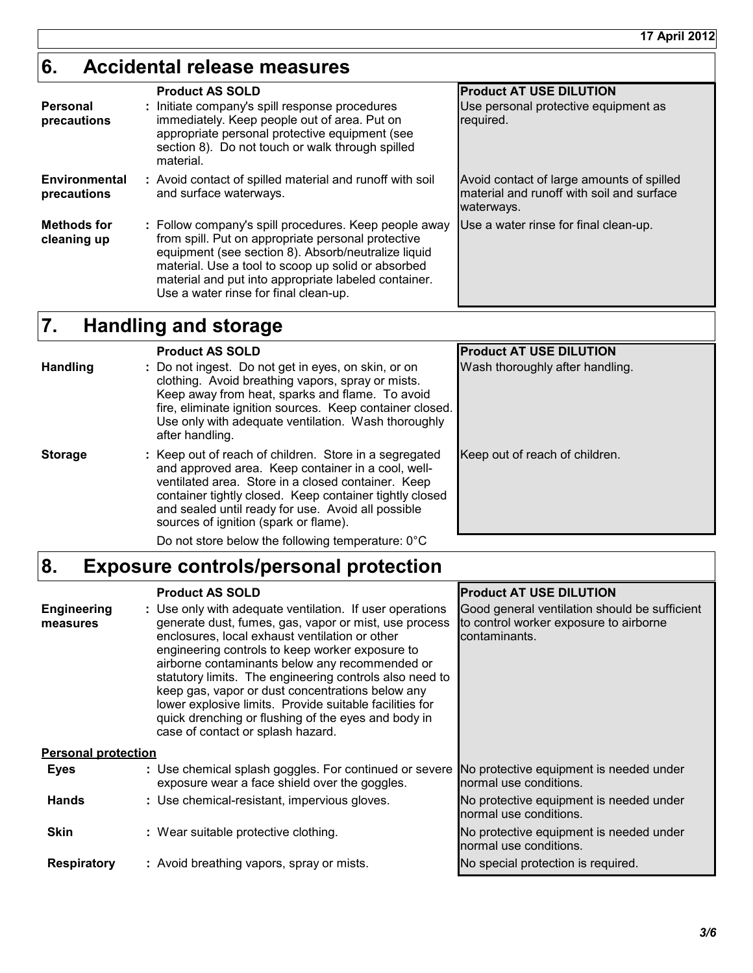## **Accidental release measures 6.**

| Personal<br>precautions             | <b>Product AS SOLD</b><br>: Initiate company's spill response procedures<br>immediately. Keep people out of area. Put on<br>appropriate personal protective equipment (see<br>section 8). Do not touch or walk through spilled<br>material.                                                                               | <b>Product AT USE DILUTION</b><br>Use personal protective equipment as<br>required.                  |
|-------------------------------------|---------------------------------------------------------------------------------------------------------------------------------------------------------------------------------------------------------------------------------------------------------------------------------------------------------------------------|------------------------------------------------------------------------------------------------------|
| <b>Environmental</b><br>precautions | : Avoid contact of spilled material and runoff with soil<br>and surface waterways.                                                                                                                                                                                                                                        | Avoid contact of large amounts of spilled<br>material and runoff with soil and surface<br>waterways. |
| <b>Methods for</b><br>cleaning up   | : Follow company's spill procedures. Keep people away<br>from spill. Put on appropriate personal protective<br>equipment (see section 8). Absorb/neutralize liquid<br>material. Use a tool to scoop up solid or absorbed<br>material and put into appropriate labeled container.<br>Use a water rinse for final clean-up. | Use a water rinse for final clean-up.                                                                |

#### **Handling and storage 7.**

|                 | <b>Product AS SOLD</b>                                                                                                                                                                                                                                                                                                       | <b>Product AT USE DILUTION</b>  |
|-----------------|------------------------------------------------------------------------------------------------------------------------------------------------------------------------------------------------------------------------------------------------------------------------------------------------------------------------------|---------------------------------|
| <b>Handling</b> | : Do not ingest. Do not get in eyes, on skin, or on<br>clothing. Avoid breathing vapors, spray or mists.<br>Keep away from heat, sparks and flame. To avoid<br>fire, eliminate ignition sources. Keep container closed.<br>Use only with adequate ventilation. Wash thoroughly<br>after handling.                            | Wash thoroughly after handling. |
| <b>Storage</b>  | : Keep out of reach of children. Store in a segregated<br>and approved area. Keep container in a cool, well-<br>ventilated area. Store in a closed container. Keep<br>container tightly closed. Keep container tightly closed<br>and sealed until ready for use. Avoid all possible<br>sources of ignition (spark or flame). | Keep out of reach of children.  |
|                 | Do not store below the following temperature: $0^{\circ}$ C                                                                                                                                                                                                                                                                  |                                 |

#### **Exposure controls/personal protection 8.**

|                                | <b>Product AS SOLD</b>                                                                                                                                                                                                                                                                                                                                                                                                                                                                                                                         | <b>Product AT USE DILUTION</b>                                                                           |  |
|--------------------------------|------------------------------------------------------------------------------------------------------------------------------------------------------------------------------------------------------------------------------------------------------------------------------------------------------------------------------------------------------------------------------------------------------------------------------------------------------------------------------------------------------------------------------------------------|----------------------------------------------------------------------------------------------------------|--|
| <b>Engineering</b><br>measures | : Use only with adequate ventilation. If user operations<br>generate dust, fumes, gas, vapor or mist, use process<br>enclosures, local exhaust ventilation or other<br>engineering controls to keep worker exposure to<br>airborne contaminants below any recommended or<br>statutory limits. The engineering controls also need to<br>keep gas, vapor or dust concentrations below any<br>lower explosive limits. Provide suitable facilities for<br>quick drenching or flushing of the eyes and body in<br>case of contact or splash hazard. | Good general ventilation should be sufficient<br>to control worker exposure to airborne<br>contaminants. |  |
| <b>Personal protection</b>     |                                                                                                                                                                                                                                                                                                                                                                                                                                                                                                                                                |                                                                                                          |  |
| Eyes                           | : Use chemical splash goggles. For continued or severe<br>exposure wear a face shield over the goggles.                                                                                                                                                                                                                                                                                                                                                                                                                                        | No protective equipment is needed under<br>normal use conditions.                                        |  |
| <b>Hands</b>                   | : Use chemical-resistant, impervious gloves.                                                                                                                                                                                                                                                                                                                                                                                                                                                                                                   | No protective equipment is needed under<br>normal use conditions.                                        |  |
| <b>Skin</b>                    | : Wear suitable protective clothing.                                                                                                                                                                                                                                                                                                                                                                                                                                                                                                           | No protective equipment is needed under<br>normal use conditions.                                        |  |
| <b>Respiratory</b>             | : Avoid breathing vapors, spray or mists.                                                                                                                                                                                                                                                                                                                                                                                                                                                                                                      | No special protection is required.                                                                       |  |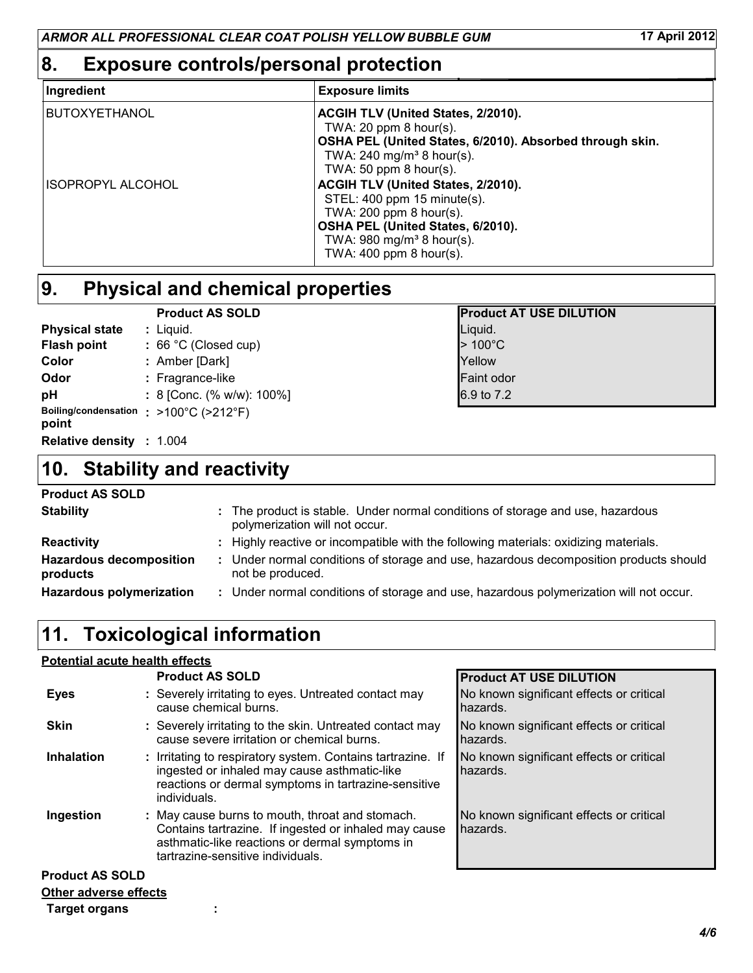## **8. Exposure controls/personal protection**

| Ingredient               | <b>Exposure limits</b>                                                                                                                                                                                      |
|--------------------------|-------------------------------------------------------------------------------------------------------------------------------------------------------------------------------------------------------------|
| <b>BUTOXYETHANOL</b>     | ACGIH TLV (United States, 2/2010).<br>TWA: 20 ppm $8$ hour(s).<br>OSHA PEL (United States, 6/2010). Absorbed through skin.<br>TWA: $240 \text{ mg/m}^3$ 8 hour(s).<br>TWA: 50 ppm $8$ hour(s).              |
| <b>ISOPROPYL ALCOHOL</b> | ACGIH TLV (United States, 2/2010).<br>STEL: 400 ppm 15 minute(s).<br>TWA: $200$ ppm $8$ hour(s).<br>OSHA PEL (United States, 6/2010).<br>TWA: $980$ mg/m <sup>3</sup> 8 hour(s).<br>TWA: 400 ppm 8 hour(s). |

### **Physical and chemical properties 9.**

|                       | <b>Product AS SOLD</b>                 | <b>Product AT USE DILUTION</b> |
|-----------------------|----------------------------------------|--------------------------------|
| <b>Physical state</b> | : Liquid.                              | Liquid.                        |
| <b>Flash point</b>    | $: 66 °C$ (Closed cup)                 | $>100^{\circ}$ C               |
| Color                 | : Amber [Dark]                         | Yellow                         |
| Odor                  | : Fragrance-like                       | <b>Faint odor</b>              |
| pH                    | : 8 [Conc. (% w/w): $100\%$ ]          | 6.9 to 7.2                     |
| point                 | Boiling/condensation : >100°C (>212°F) |                                |

1.004 **Relative density :**

## **Stability and reactivity 10.**

#### **Product AS SOLD**

| <b>Stability</b>                           | : The product is stable. Under normal conditions of storage and use, hazardous<br>polymerization will not occur. |
|--------------------------------------------|------------------------------------------------------------------------------------------------------------------|
| <b>Reactivity</b>                          | Highly reactive or incompatible with the following materials: oxidizing materials.                               |
| <b>Hazardous decomposition</b><br>products | Under normal conditions of storage and use, hazardous decomposition products should<br>not be produced.          |
| <b>Hazardous polymerization</b>            | : Under normal conditions of storage and use, hazardous polymerization will not occur.                           |

## **11. Toxicological information**

#### **Potential acute health effects**

|                              | <b>Product AS SOLD</b>                                                                                                                                                                          | <b>Product AT USE DILUTION</b>                       |
|------------------------------|-------------------------------------------------------------------------------------------------------------------------------------------------------------------------------------------------|------------------------------------------------------|
| <b>Eyes</b>                  | : Severely irritating to eyes. Untreated contact may<br>cause chemical burns.                                                                                                                   | No known significant effects or critical<br>hazards. |
| <b>Skin</b>                  | : Severely irritating to the skin. Untreated contact may<br>cause severe irritation or chemical burns.                                                                                          | No known significant effects or critical<br>hazards. |
| <b>Inhalation</b>            | : Irritating to respiratory system. Contains tartrazine. If<br>ingested or inhaled may cause asthmatic-like<br>reactions or dermal symptoms in tartrazine-sensitive<br>individuals.             | No known significant effects or critical<br>hazards. |
| Ingestion                    | : May cause burns to mouth, throat and stomach.<br>Contains tartrazine. If ingested or inhaled may cause<br>asthmatic-like reactions or dermal symptoms in<br>tartrazine-sensitive individuals. | No known significant effects or critical<br>hazards. |
| <b>Product AS SOLD</b>       |                                                                                                                                                                                                 |                                                      |
| <b>Other adverse effects</b> |                                                                                                                                                                                                 |                                                      |
| <b>Target organs</b>         |                                                                                                                                                                                                 |                                                      |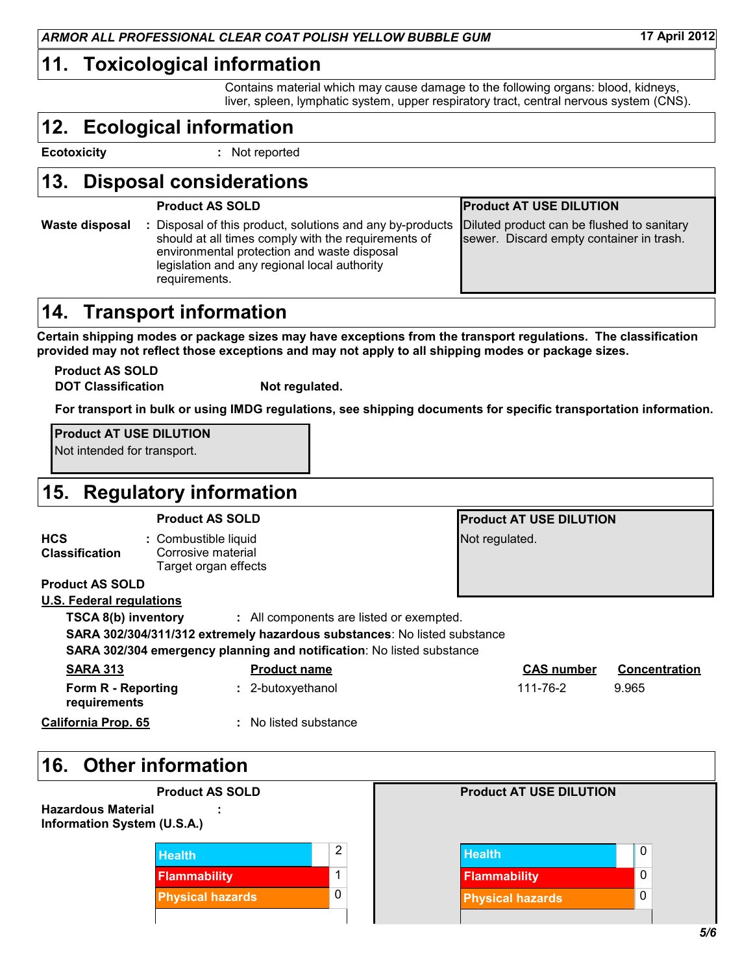### **11. Toxicological information**

Contains material which may cause damage to the following organs: blood, kidneys, liver, spleen, lymphatic system, upper respiratory tract, central nervous system (CNS).

## **Ecological information 12.**

**Ecotoxicity :**

: Not reported

### **Disposal considerations 13.**

#### **Product AS SOLD Product AT USE DILUTION**

#### : Disposal of this product, solutions and any by-products Diluted should at all times comply with the requirements of environmental protection and waste disposal legislation and any regional local authority requirements. **Waste disposal** Diluted product can be flushed to sanitary sewer. Discard empty container in trash.

### **14. Transport information**

**Certain shipping modes or package sizes may have exceptions from the transport regulations. The classification provided may not reflect those exceptions and may not apply to all shipping modes or package sizes.**

**DOT Classification Not requlated. Product AS SOLD**

**For transport in bulk or using IMDG regulations, see shipping documents for specific transportation information.**

**Product AT USE DILUTION**

Not intended for transport.

#### **Regulatory information 15.**

| <b>Product AS SOLD</b>              |                                                                    |                                                                          | <b>Product AT USE DILUTION</b> |                      |  |
|-------------------------------------|--------------------------------------------------------------------|--------------------------------------------------------------------------|--------------------------------|----------------------|--|
| <b>HCS</b><br><b>Classification</b> | : Combustible liquid<br>Corrosive material<br>Target organ effects |                                                                          | Not regulated.                 |                      |  |
| <b>Product AS SOLD</b>              |                                                                    |                                                                          |                                |                      |  |
| <b>U.S. Federal regulations</b>     |                                                                    |                                                                          |                                |                      |  |
| TSCA 8(b) inventory                 |                                                                    | : All components are listed or exempted.                                 |                                |                      |  |
|                                     |                                                                    | SARA 302/304/311/312 extremely hazardous substances: No listed substance |                                |                      |  |
|                                     |                                                                    | SARA 302/304 emergency planning and notification: No listed substance    |                                |                      |  |
| <b>SARA 313</b>                     |                                                                    | <b>Product name</b>                                                      | <b>CAS number</b>              | <b>Concentration</b> |  |
| Form R - Reporting<br>requirements  |                                                                    | : 2-butoxyethanol                                                        | 111-76-2                       | 9.965                |  |

No listed substance **:**

**California Prop. 65**